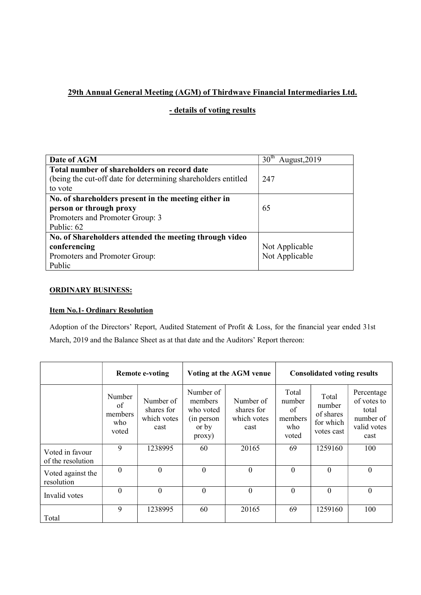# 29th Annual General Meeting (AGM) of Thirdwave Financial Intermediaries Ltd.

# - details of voting results

| Date of AGM                                                   | 30 <sup>th</sup><br>August, 2019 |
|---------------------------------------------------------------|----------------------------------|
| Total number of shareholders on record date                   |                                  |
| (being the cut-off date for determining shareholders entitled | 247                              |
| to vote                                                       |                                  |
| No. of shareholders present in the meeting either in          |                                  |
| person or through proxy                                       | 65                               |
| Promoters and Promoter Group: 3                               |                                  |
| Public: 62                                                    |                                  |
| No. of Shareholders attended the meeting through video        |                                  |
| conferencing                                                  | Not Applicable                   |
| Promoters and Promoter Group:                                 | Not Applicable                   |
| Public                                                        |                                  |

## ORDINARY BUSINESS:

## Item No.1- Ordinary Resolution

Adoption of the Directors' Report, Audited Statement of Profit & Loss, for the financial year ended 31st March, 2019 and the Balance Sheet as at that date and the Auditors' Report thereon:

|                                      | <b>Remote e-voting</b>                  |                                                |                                                                    | Voting at the AGM venue                        | <b>Consolidated voting results</b>               |                                                         |                                                                        |
|--------------------------------------|-----------------------------------------|------------------------------------------------|--------------------------------------------------------------------|------------------------------------------------|--------------------------------------------------|---------------------------------------------------------|------------------------------------------------------------------------|
|                                      | Number<br>of<br>members<br>who<br>voted | Number of<br>shares for<br>which votes<br>cast | Number of<br>members<br>who voted<br>(in person<br>or by<br>proxy) | Number of<br>shares for<br>which votes<br>cast | Total<br>number<br>of<br>members<br>who<br>voted | Total<br>number<br>of shares<br>for which<br>votes cast | Percentage<br>of votes to<br>total<br>number of<br>valid votes<br>cast |
| Voted in favour<br>of the resolution | 9                                       | 1238995                                        | 60                                                                 | 20165                                          | 69                                               | 1259160                                                 | 100                                                                    |
| Voted against the<br>resolution      | $\theta$                                | $\theta$                                       | $\Omega$                                                           | $\theta$                                       | $\theta$                                         | $\overline{0}$                                          | $\overline{0}$                                                         |
| Invalid votes                        | $\Omega$                                | $\overline{0}$                                 | $\overline{0}$                                                     | $\theta$                                       | $\theta$                                         | $\theta$                                                | $\boldsymbol{0}$                                                       |
| Total                                | 9                                       | 1238995                                        | 60                                                                 | 20165                                          | 69                                               | 1259160                                                 | 100                                                                    |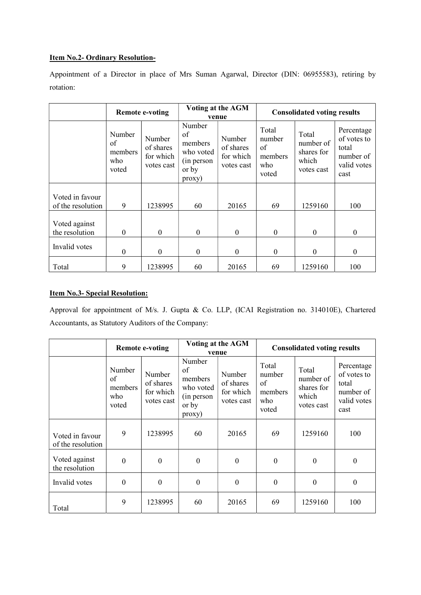#### Item No.2- Ordinary Resolution-

Appointment of a Director in place of Mrs Suman Agarwal, Director (DIN: 06955583), retiring by rotation:

|                                      | <b>Remote e-voting</b>                  |                                                |                                                                       | Voting at the AGM<br>venue                     | <b>Consolidated voting results</b>               |                                                         |                                                                        |
|--------------------------------------|-----------------------------------------|------------------------------------------------|-----------------------------------------------------------------------|------------------------------------------------|--------------------------------------------------|---------------------------------------------------------|------------------------------------------------------------------------|
|                                      | Number<br>of<br>members<br>who<br>voted | Number<br>of shares<br>for which<br>votes cast | Number<br>of<br>members<br>who voted<br>(in person<br>or by<br>proxy) | Number<br>of shares<br>for which<br>votes cast | Total<br>number<br>of<br>members<br>who<br>voted | Total<br>number of<br>shares for<br>which<br>votes cast | Percentage<br>of votes to<br>total<br>number of<br>valid votes<br>cast |
| Voted in favour<br>of the resolution | 9                                       | 1238995                                        | 60                                                                    | 20165                                          | 69                                               | 1259160                                                 | 100                                                                    |
| Voted against<br>the resolution      | $\theta$                                | $\mathbf{0}$                                   | $\boldsymbol{0}$                                                      | $\theta$                                       | $\theta$                                         | $\Omega$                                                | $\mathbf{0}$                                                           |
| Invalid votes                        | $\theta$                                | $\theta$                                       | $\theta$                                                              | $\Omega$                                       | $\theta$                                         | $\Omega$                                                | 0                                                                      |
| Total                                | 9                                       | 1238995                                        | 60                                                                    | 20165                                          | 69                                               | 1259160                                                 | 100                                                                    |

## Item No.3- Special Resolution:

Approval for appointment of M/s. J. Gupta & Co. LLP, (ICAI Registration no. 314010E), Chartered Accountants, as Statutory Auditors of the Company:

|                                      | <b>Remote e-voting</b>                  |                                                |                                                                       | Voting at the AGM<br>venue                     | <b>Consolidated voting results</b>               |                                                         |                                                                        |
|--------------------------------------|-----------------------------------------|------------------------------------------------|-----------------------------------------------------------------------|------------------------------------------------|--------------------------------------------------|---------------------------------------------------------|------------------------------------------------------------------------|
|                                      | Number<br>of<br>members<br>who<br>voted | Number<br>of shares<br>for which<br>votes cast | Number<br>of<br>members<br>who voted<br>(in person<br>or by<br>proxy) | Number<br>of shares<br>for which<br>votes cast | Total<br>number<br>of<br>members<br>who<br>voted | Total<br>number of<br>shares for<br>which<br>votes cast | Percentage<br>of votes to<br>total<br>number of<br>valid votes<br>cast |
| Voted in favour<br>of the resolution | 9                                       | 1238995                                        | 60                                                                    | 20165                                          | 69                                               | 1259160                                                 | 100                                                                    |
| Voted against<br>the resolution      | $\overline{0}$                          | $\theta$                                       | $\boldsymbol{0}$                                                      | $\theta$                                       | $\theta$                                         | $\theta$                                                | $\theta$                                                               |
| Invalid votes                        | $\mathbf{0}$                            | $\theta$                                       | $\boldsymbol{0}$                                                      | $\theta$                                       | $\mathbf{0}$                                     | $\boldsymbol{0}$                                        | $\boldsymbol{0}$                                                       |
| Total                                | 9                                       | 1238995                                        | 60                                                                    | 20165                                          | 69                                               | 1259160                                                 | 100                                                                    |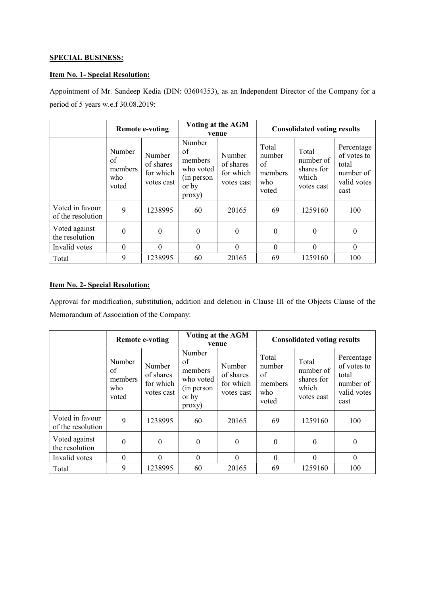#### SPECIAL BUSINESS:

## Item No. 1- Special Resolution:

Appointment of Mr. Sandeep Kedia (DIN: 03604353), as an Independent Director of the Company for a period of 5 years w.e.f 30.08.2019:

|                                      | <b>Remote e-voting</b>                  |                                                | Voting at the AGM<br>venue                                            |                                                | <b>Consolidated voting results</b>               |                                                         |                                                                        |
|--------------------------------------|-----------------------------------------|------------------------------------------------|-----------------------------------------------------------------------|------------------------------------------------|--------------------------------------------------|---------------------------------------------------------|------------------------------------------------------------------------|
|                                      | Number<br>of<br>members<br>who<br>voted | Number<br>of shares<br>for which<br>votes cast | Number<br>of<br>members<br>who voted<br>(in person<br>or by<br>proxy) | Number<br>of shares<br>for which<br>votes cast | Total<br>number<br>of<br>members<br>who<br>voted | Total<br>number of<br>shares for<br>which<br>votes cast | Percentage<br>of votes to<br>total<br>number of<br>valid votes<br>cast |
| Voted in favour<br>of the resolution | 9                                       | 1238995                                        | 60                                                                    | 20165                                          | 69                                               | 1259160                                                 | 100                                                                    |
| Voted against<br>the resolution      | $\theta$                                | $\theta$                                       | $\boldsymbol{0}$                                                      | $\theta$                                       | $\theta$                                         | $\Omega$                                                | $\boldsymbol{0}$                                                       |
| Invalid votes                        | $\theta$                                | $\Omega$                                       | $\theta$                                                              | $\Omega$                                       | $\Omega$                                         | $\Omega$                                                | $\mathbf{0}$                                                           |
| Total                                | 9                                       | 1238995                                        | 60                                                                    | 20165                                          | 69                                               | 1259160                                                 | 100                                                                    |

#### Item No. 2- Special Resolution:

Approval for modification, substitution, addition and deletion in Clause III of the Objects Clause of the Memorandum of Association of the Company:

|                                      | <b>Remote e-voting</b>                  |                                                | Voting at the AGM<br>venue                                            |                                                | <b>Consolidated voting results</b>               |                                                         |                                                                        |
|--------------------------------------|-----------------------------------------|------------------------------------------------|-----------------------------------------------------------------------|------------------------------------------------|--------------------------------------------------|---------------------------------------------------------|------------------------------------------------------------------------|
|                                      | Number<br>of<br>members<br>who<br>voted | Number<br>of shares<br>for which<br>votes cast | Number<br>of<br>members<br>who voted<br>(in person<br>or by<br>proxy) | Number<br>of shares<br>for which<br>votes cast | Total<br>number<br>of<br>members<br>who<br>voted | Total<br>number of<br>shares for<br>which<br>votes cast | Percentage<br>of votes to<br>total<br>number of<br>valid votes<br>cast |
| Voted in favour<br>of the resolution | 9                                       | 1238995                                        | 60                                                                    | 20165                                          | 69                                               | 1259160                                                 | 100                                                                    |
| Voted against<br>the resolution      | $\overline{0}$                          | $\overline{0}$                                 | $\boldsymbol{0}$                                                      | $\theta$                                       | $\theta$                                         | $\theta$                                                | $\boldsymbol{0}$                                                       |
| Invalid votes                        | $\Omega$                                | $\theta$                                       | $\theta$                                                              | $\theta$                                       | $\Omega$                                         | $\Omega$                                                | $\mathbf{0}$                                                           |
| Total                                | 9                                       | 1238995                                        | 60                                                                    | 20165                                          | 69                                               | 1259160                                                 | 100                                                                    |